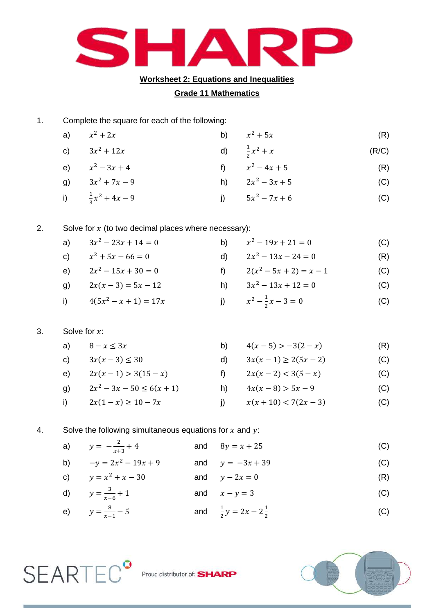

### **Worksheet 2: Equations and Inequalities**

## **Grade 11 Mathematics**

1. Complete the square for each of the following:

| a) $x^2 + 2x$                | b) $x^2 + 5x$           | (R)   |
|------------------------------|-------------------------|-------|
| c) $3x^2 + 12x$              | d) $\frac{1}{2}x^2 + x$ | (R/C) |
| e) $x^2 - 3x + 4$            | f) $x^2 - 4x + 5$       | (R)   |
| g) $3x^2 + 7x - 9$           | h) $2x^2 - 3x + 5$      | (C)   |
| i) $\frac{1}{2}x^2 + 4x - 9$ | i) $5x^2 - 7x + 6$      | (C)   |

### 2. Solve for  $x$  (to two decimal places where necessary):

| a) $3x^2 - 23x + 14 = 0$   | b) $x^2 - 19x + 21 = 0$         | (C) |
|----------------------------|---------------------------------|-----|
| c) $x^2 + 5x - 66 = 0$     | d) $2x^2 - 13x - 24 = 0$        | (R) |
| e) $2x^2 - 15x + 30 = 0$   | f) $2(x^2-5x+2)=x-1$            | (C) |
| g) $2x(x-3) = 5x - 12$     | h) $3x^2 - 13x + 12 = 0$        | (C) |
| i) $4(5x^2 - x + 1) = 17x$ | j) $x^2 - \frac{1}{2}x - 3 = 0$ | (C) |

# 3. Solve for  $x$ :

**SEARTEC<sup>°</sup>** 

|  |  | a) $8 - x \le 3x$ |  | b) $4(x-5) > -3(2-x)$ | (R) |
|--|--|-------------------|--|-----------------------|-----|
|--|--|-------------------|--|-----------------------|-----|

- c)  $3x(x-3) \le 30$  d)  $3x(x-1) \ge 2(5x-2)$  (C) e)  $2x(x-1) > 3(15-x)$  f)  $2x(x-2) < 3(5-x)$  (C) g)  $2x^2 - 3x - 50 \le 6(x+1)$ h)  $4x(x-8) > 5x-9$  (C)
- i)  $2x(1-x) \ge 10 7x$  <br> j)  $x(x+10) < 7(2x-3)$  (C)

### 4. Solve the following simultaneous equations for  $x$  and  $y$ :

| a) $y = -\frac{2}{x+3} + 4$ | and $8y = x + 25$                      | (C) |
|-----------------------------|----------------------------------------|-----|
| b) $-y = 2x^2 - 19x + 9$    | and $y = -3x + 39$                     | (C) |
| c) $y = x^2 + x - 30$       | and $y-2x=0$                           | (R) |
| d) $y = \frac{3}{x-6} + 1$  | and $x - y = 3$                        | (C) |
| e) $y = \frac{8}{x-1} - 5$  | and $\frac{1}{2}y = 2x - 2\frac{1}{2}$ | (C) |



Proud distributor of: **SHARP**